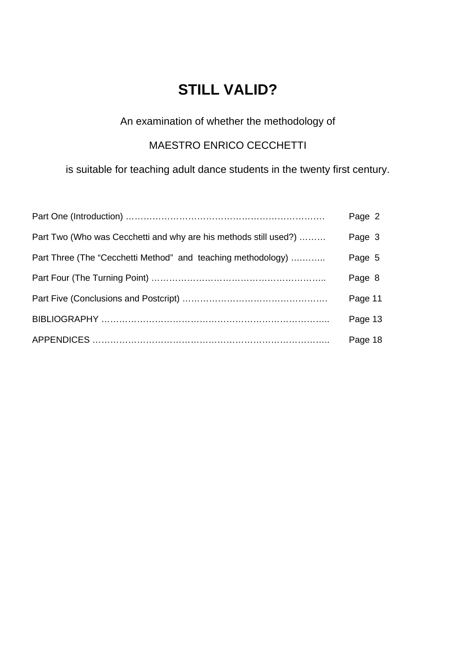# **STILL VALID?**

# An examination of whether the methodology of

# MAESTRO ENRICO CECCHETTI

is suitable for teaching adult dance students in the twenty first century.

|                                                                  | Page 2  |
|------------------------------------------------------------------|---------|
| Part Two (Who was Cecchetti and why are his methods still used?) | Page 3  |
| Part Three (The "Cecchetti Method" and teaching methodology)     | Page 5  |
|                                                                  | Page 8  |
|                                                                  | Page 11 |
|                                                                  | Page 13 |
|                                                                  | Page 18 |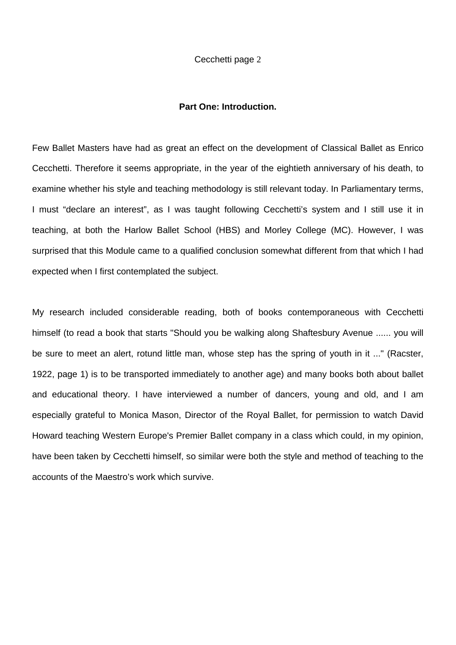# **Part One: Introduction.**

Few Ballet Masters have had as great an effect on the development of Classical Ballet as Enrico Cecchetti. Therefore it seems appropriate, in the year of the eightieth anniversary of his death, to examine whether his style and teaching methodology is still relevant today. In Parliamentary terms, I must "declare an interest", as I was taught following Cecchetti's system and I still use it in teaching, at both the Harlow Ballet School (HBS) and Morley College (MC). However, I was surprised that this Module came to a qualified conclusion somewhat different from that which I had expected when I first contemplated the subject.

My research included considerable reading, both of books contemporaneous with Cecchetti himself (to read a book that starts "Should you be walking along Shaftesbury Avenue ...... you will be sure to meet an alert, rotund little man, whose step has the spring of youth in it ..." (Racster, 1922, page 1) is to be transported immediately to another age) and many books both about ballet and educational theory. I have interviewed a number of dancers, young and old, and I am especially grateful to Monica Mason, Director of the Royal Ballet, for permission to watch David Howard teaching Western Europe's Premier Ballet company in a class which could, in my opinion, have been taken by Cecchetti himself, so similar were both the style and method of teaching to the accounts of the Maestro's work which survive.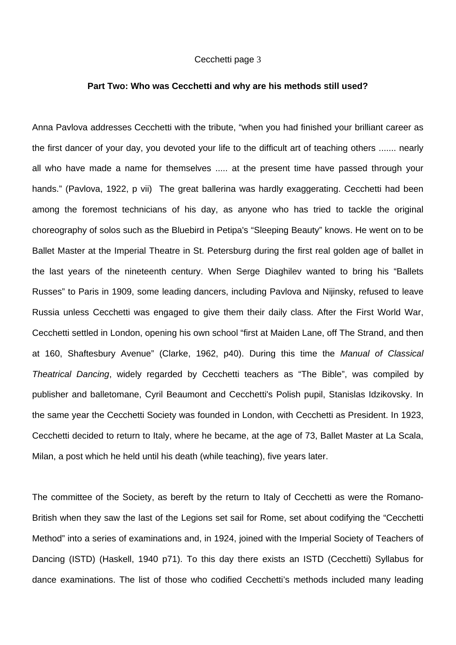#### **Part Two: Who was Cecchetti and why are his methods still used?**

Anna Pavlova addresses Cecchetti with the tribute, "when you had finished your brilliant career as the first dancer of your day, you devoted your life to the difficult art of teaching others ....... nearly all who have made a name for themselves ..... at the present time have passed through your hands." (Pavlova, 1922, p vii) The great ballerina was hardly exaggerating. Cecchetti had been among the foremost technicians of his day, as anyone who has tried to tackle the original choreography of solos such as the Bluebird in Petipa's "Sleeping Beauty" knows. He went on to be Ballet Master at the Imperial Theatre in St. Petersburg during the first real golden age of ballet in the last years of the nineteenth century. When Serge Diaghilev wanted to bring his "Ballets Russes" to Paris in 1909, some leading dancers, including Pavlova and Nijinsky, refused to leave Russia unless Cecchetti was engaged to give them their daily class. After the First World War, Cecchetti settled in London, opening his own school "first at Maiden Lane, off The Strand, and then at 160, Shaftesbury Avenue" (Clarke, 1962, p40). During this time the *Manual of Classical Theatrical Dancing*, widely regarded by Cecchetti teachers as "The Bible", was compiled by publisher and balletomane, Cyril Beaumont and Cecchetti's Polish pupil, Stanislas Idzikovsky. In the same year the Cecchetti Society was founded in London, with Cecchetti as President. In 1923, Cecchetti decided to return to Italy, where he became, at the age of 73, Ballet Master at La Scala, Milan, a post which he held until his death (while teaching), five years later.

The committee of the Society, as bereft by the return to Italy of Cecchetti as were the Romano-British when they saw the last of the Legions set sail for Rome, set about codifying the "Cecchetti Method" into a series of examinations and, in 1924, joined with the Imperial Society of Teachers of Dancing (ISTD) (Haskell, 1940 p71). To this day there exists an ISTD (Cecchetti) Syllabus for dance examinations. The list of those who codified Cecchetti's methods included many leading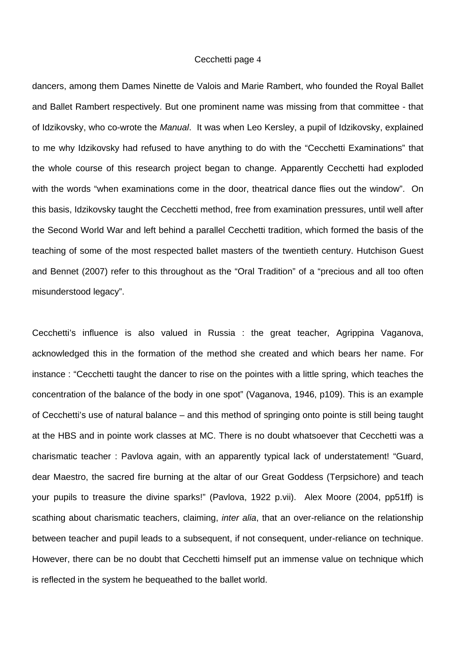dancers, among them Dames Ninette de Valois and Marie Rambert, who founded the Royal Ballet and Ballet Rambert respectively. But one prominent name was missing from that committee - that of Idzikovsky, who co-wrote the *Manual*. It was when Leo Kersley, a pupil of Idzikovsky, explained to me why Idzikovsky had refused to have anything to do with the "Cecchetti Examinations" that the whole course of this research project began to change. Apparently Cecchetti had exploded with the words "when examinations come in the door, theatrical dance flies out the window". On this basis, Idzikovsky taught the Cecchetti method, free from examination pressures, until well after the Second World War and left behind a parallel Cecchetti tradition, which formed the basis of the teaching of some of the most respected ballet masters of the twentieth century. Hutchison Guest and Bennet (2007) refer to this throughout as the "Oral Tradition" of a "precious and all too often misunderstood legacy".

Cecchetti's influence is also valued in Russia : the great teacher, Agrippina Vaganova, acknowledged this in the formation of the method she created and which bears her name. For instance : "Cecchetti taught the dancer to rise on the pointes with a little spring, which teaches the concentration of the balance of the body in one spot" (Vaganova, 1946, p109). This is an example of Cecchetti's use of natural balance – and this method of springing onto pointe is still being taught at the HBS and in pointe work classes at MC. There is no doubt whatsoever that Cecchetti was a charismatic teacher : Pavlova again, with an apparently typical lack of understatement! "Guard, dear Maestro, the sacred fire burning at the altar of our Great Goddess (Terpsichore) and teach your pupils to treasure the divine sparks!" (Pavlova, 1922 p.vii). Alex Moore (2004, pp51ff) is scathing about charismatic teachers, claiming, *inter alia*, that an over-reliance on the relationship between teacher and pupil leads to a subsequent, if not consequent, under-reliance on technique. However, there can be no doubt that Cecchetti himself put an immense value on technique which is reflected in the system he bequeathed to the ballet world.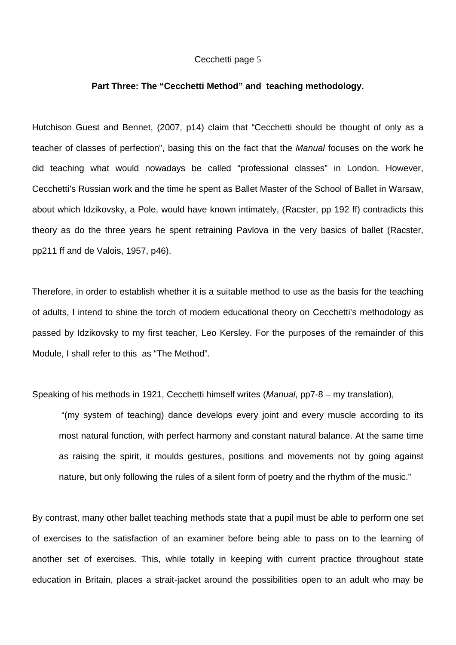#### **Part Three: The "Cecchetti Method" and teaching methodology.**

Hutchison Guest and Bennet, (2007, p14) claim that "Cecchetti should be thought of only as a teacher of classes of perfection", basing this on the fact that the *Manual* focuses on the work he did teaching what would nowadays be called "professional classes" in London. However, Cecchetti's Russian work and the time he spent as Ballet Master of the School of Ballet in Warsaw, about which Idzikovsky, a Pole, would have known intimately, (Racster, pp 192 ff) contradicts this theory as do the three years he spent retraining Pavlova in the very basics of ballet (Racster, pp211 ff and de Valois, 1957, p46).

Therefore, in order to establish whether it is a suitable method to use as the basis for the teaching of adults, I intend to shine the torch of modern educational theory on Cecchetti's methodology as passed by Idzikovsky to my first teacher, Leo Kersley. For the purposes of the remainder of this Module, I shall refer to this as "The Method".

Speaking of his methods in 1921, Cecchetti himself writes (*Manual*, pp7-8 – my translation),

 "(my system of teaching) dance develops every joint and every muscle according to its most natural function, with perfect harmony and constant natural balance. At the same time as raising the spirit, it moulds gestures, positions and movements not by going against nature, but only following the rules of a silent form of poetry and the rhythm of the music."

By contrast, many other ballet teaching methods state that a pupil must be able to perform one set of exercises to the satisfaction of an examiner before being able to pass on to the learning of another set of exercises. This, while totally in keeping with current practice throughout state education in Britain, places a strait-jacket around the possibilities open to an adult who may be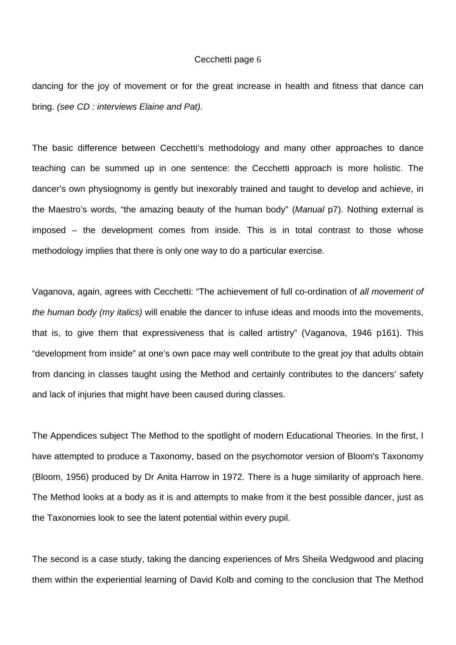dancing for the joy of movement or for the great increase in health and fitness that dance can bring. *(see CD : interviews Elaine and Pat).* 

The basic difference between Cecchetti's methodology and many other approaches to dance teaching can be summed up in one sentence: the Cecchetti approach is more holistic. The dancer's own physiognomy is gently but inexorably trained and taught to develop and achieve, in the Maestro's words, "the amazing beauty of the human body" (*Manual* p7). Nothing external is imposed – the development comes from inside. This is in total contrast to those whose methodology implies that there is only one way to do a particular exercise.

Vaganova, again, agrees with Cecchetti: "The achievement of full co-ordination of *all movement of the human body (my italics)* will enable the dancer to infuse ideas and moods into the movements, that is, to give them that expressiveness that is called artistry" (Vaganova, 1946 p161). This "development from inside" at one's own pace may well contribute to the great joy that adults obtain from dancing in classes taught using the Method and certainly contributes to the dancers' safety and lack of injuries that might have been caused during classes.

The Appendices subject The Method to the spotlight of modern Educational Theories. In the first, I have attempted to produce a Taxonomy, based on the psychomotor version of Bloom's Taxonomy (Bloom, 1956) produced by Dr Anita Harrow in 1972. There is a huge similarity of approach here. The Method looks at a body as it is and attempts to make from it the best possible dancer, just as the Taxonomies look to see the latent potential within every pupil.

The second is a case study, taking the dancing experiences of Mrs Sheila Wedgwood and placing them within the experiential learning of David Kolb and coming to the conclusion that The Method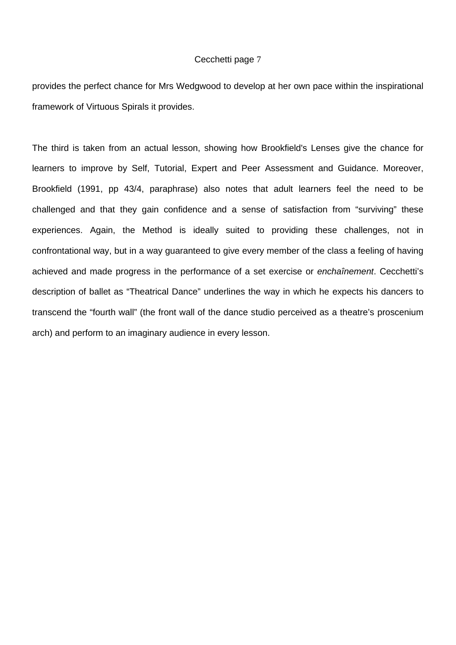provides the perfect chance for Mrs Wedgwood to develop at her own pace within the inspirational framework of Virtuous Spirals it provides.

The third is taken from an actual lesson, showing how Brookfield's Lenses give the chance for learners to improve by Self, Tutorial, Expert and Peer Assessment and Guidance. Moreover, Brookfield (1991, pp 43/4, paraphrase) also notes that adult learners feel the need to be challenged and that they gain confidence and a sense of satisfaction from "surviving" these experiences. Again, the Method is ideally suited to providing these challenges, not in confrontational way, but in a way guaranteed to give every member of the class a feeling of having achieved and made progress in the performance of a set exercise or *enchaînement*. Cecchetti's description of ballet as "Theatrical Dance" underlines the way in which he expects his dancers to transcend the "fourth wall" (the front wall of the dance studio perceived as a theatre's proscenium arch) and perform to an imaginary audience in every lesson.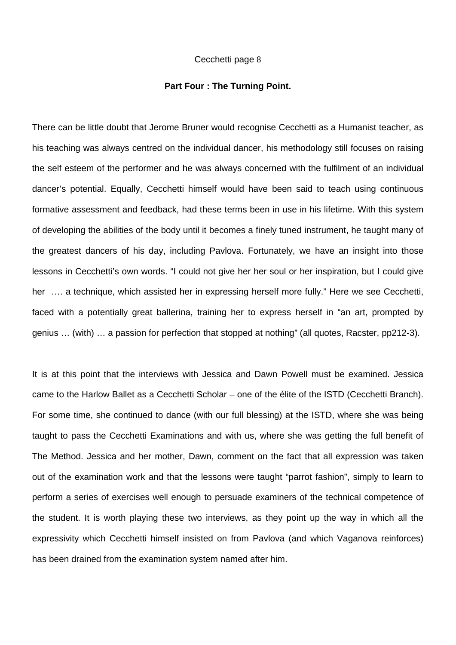#### **Part Four : The Turning Point.**

There can be little doubt that Jerome Bruner would recognise Cecchetti as a Humanist teacher, as his teaching was always centred on the individual dancer, his methodology still focuses on raising the self esteem of the performer and he was always concerned with the fulfilment of an individual dancer's potential. Equally, Cecchetti himself would have been said to teach using continuous formative assessment and feedback, had these terms been in use in his lifetime. With this system of developing the abilities of the body until it becomes a finely tuned instrument, he taught many of the greatest dancers of his day, including Pavlova. Fortunately, we have an insight into those lessons in Cecchetti's own words. "I could not give her her soul or her inspiration, but I could give her …. a technique, which assisted her in expressing herself more fully." Here we see Cecchetti, faced with a potentially great ballerina, training her to express herself in "an art, prompted by genius … (with) … a passion for perfection that stopped at nothing" (all quotes, Racster, pp212-3).

It is at this point that the interviews with Jessica and Dawn Powell must be examined. Jessica came to the Harlow Ballet as a Cecchetti Scholar – one of the élite of the ISTD (Cecchetti Branch). For some time, she continued to dance (with our full blessing) at the ISTD, where she was being taught to pass the Cecchetti Examinations and with us, where she was getting the full benefit of The Method. Jessica and her mother, Dawn, comment on the fact that all expression was taken out of the examination work and that the lessons were taught "parrot fashion", simply to learn to perform a series of exercises well enough to persuade examiners of the technical competence of the student. It is worth playing these two interviews, as they point up the way in which all the expressivity which Cecchetti himself insisted on from Pavlova (and which Vaganova reinforces) has been drained from the examination system named after him.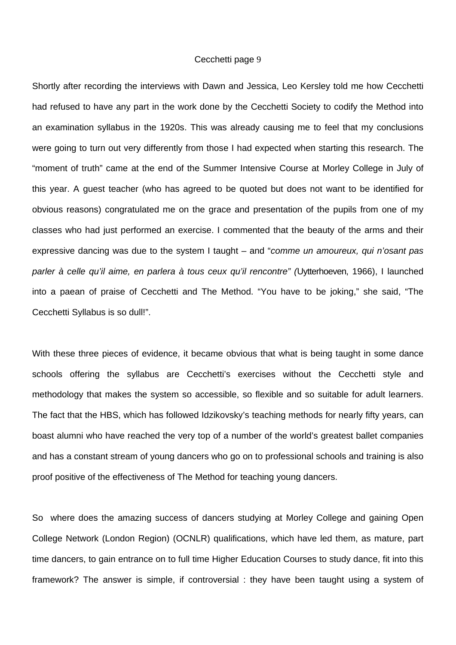Shortly after recording the interviews with Dawn and Jessica, Leo Kersley told me how Cecchetti had refused to have any part in the work done by the Cecchetti Society to codify the Method into an examination syllabus in the 1920s. This was already causing me to feel that my conclusions were going to turn out very differently from those I had expected when starting this research. The "moment of truth" came at the end of the Summer Intensive Course at Morley College in July of this year. A guest teacher (who has agreed to be quoted but does not want to be identified for obvious reasons) congratulated me on the grace and presentation of the pupils from one of my classes who had just performed an exercise. I commented that the beauty of the arms and their expressive dancing was due to the system I taught – and "*comme un amoureux, qui n'osant pas parler à celle qu'il aime, en parlera à tous ceux qu'il rencontre" (*Uytterhoeven, 1966), I launched into a paean of praise of Cecchetti and The Method. "You have to be joking," she said, "The Cecchetti Syllabus is so dull!".

With these three pieces of evidence, it became obvious that what is being taught in some dance schools offering the syllabus are Cecchetti's exercises without the Cecchetti style and methodology that makes the system so accessible, so flexible and so suitable for adult learners. The fact that the HBS, which has followed Idzikovsky's teaching methods for nearly fifty years, can boast alumni who have reached the very top of a number of the world's greatest ballet companies and has a constant stream of young dancers who go on to professional schools and training is also proof positive of the effectiveness of The Method for teaching young dancers.

So where does the amazing success of dancers studying at Morley College and gaining Open College Network (London Region) (OCNLR) qualifications, which have led them, as mature, part time dancers, to gain entrance on to full time Higher Education Courses to study dance, fit into this framework? The answer is simple, if controversial : they have been taught using a system of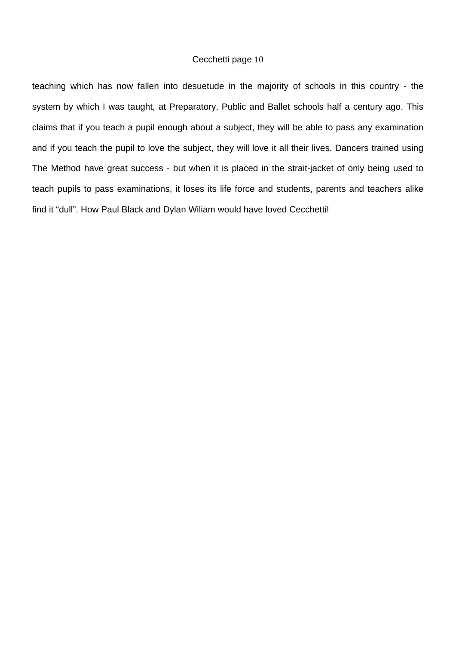teaching which has now fallen into desuetude in the majority of schools in this country - the system by which I was taught, at Preparatory, Public and Ballet schools half a century ago. This claims that if you teach a pupil enough about a subject, they will be able to pass any examination and if you teach the pupil to love the subject, they will love it all their lives. Dancers trained using The Method have great success - but when it is placed in the strait-jacket of only being used to teach pupils to pass examinations, it loses its life force and students, parents and teachers alike find it "dull". How Paul Black and Dylan Wiliam would have loved Cecchetti!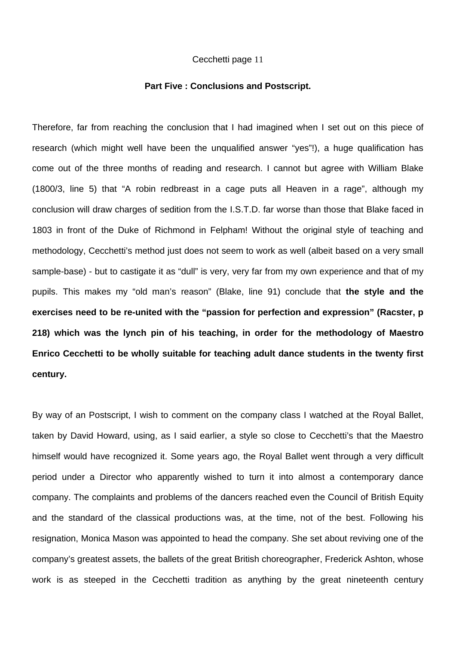#### **Part Five : Conclusions and Postscript.**

Therefore, far from reaching the conclusion that I had imagined when I set out on this piece of research (which might well have been the unqualified answer "yes"!), a huge qualification has come out of the three months of reading and research. I cannot but agree with William Blake (1800/3, line 5) that "A robin redbreast in a cage puts all Heaven in a rage", although my conclusion will draw charges of sedition from the I.S.T.D. far worse than those that Blake faced in 1803 in front of the Duke of Richmond in Felpham! Without the original style of teaching and methodology, Cecchetti's method just does not seem to work as well (albeit based on a very small sample-base) - but to castigate it as "dull" is very, very far from my own experience and that of my pupils. This makes my "old man's reason" (Blake, line 91) conclude that **the style and the exercises need to be re-united with the "passion for perfection and expression" (Racster, p 218) which was the lynch pin of his teaching, in order for the methodology of Maestro Enrico Cecchetti to be wholly suitable for teaching adult dance students in the twenty first century.** 

By way of an Postscript, I wish to comment on the company class I watched at the Royal Ballet, taken by David Howard, using, as I said earlier, a style so close to Cecchetti's that the Maestro himself would have recognized it. Some years ago, the Royal Ballet went through a very difficult period under a Director who apparently wished to turn it into almost a contemporary dance company. The complaints and problems of the dancers reached even the Council of British Equity and the standard of the classical productions was, at the time, not of the best. Following his resignation, Monica Mason was appointed to head the company. She set about reviving one of the company's greatest assets, the ballets of the great British choreographer, Frederick Ashton, whose work is as steeped in the Cecchetti tradition as anything by the great nineteenth century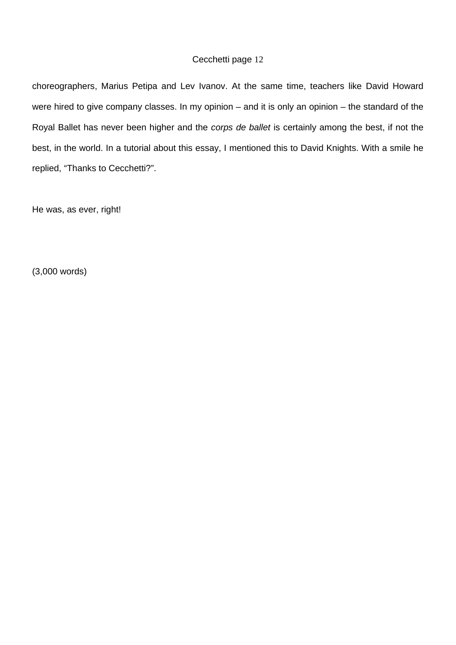choreographers, Marius Petipa and Lev Ivanov. At the same time, teachers like David Howard were hired to give company classes. In my opinion – and it is only an opinion – the standard of the Royal Ballet has never been higher and the *corps de ballet* is certainly among the best, if not the best, in the world. In a tutorial about this essay, I mentioned this to David Knights. With a smile he replied, "Thanks to Cecchetti?".

He was, as ever, right!

(3,000 words)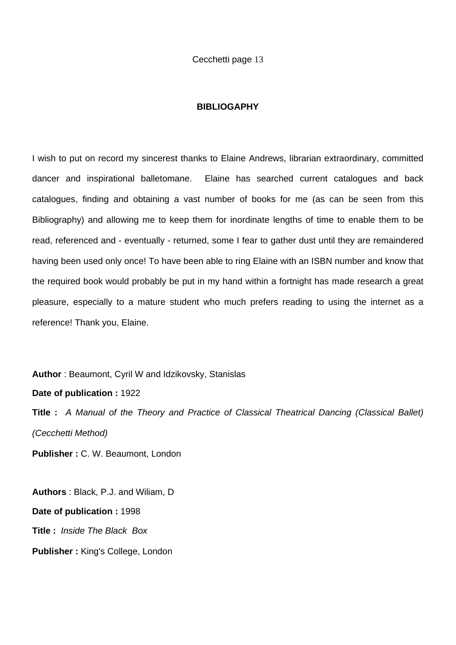### **BIBLIOGAPHY**

I wish to put on record my sincerest thanks to Elaine Andrews, librarian extraordinary, committed dancer and inspirational balletomane. Elaine has searched current catalogues and back catalogues, finding and obtaining a vast number of books for me (as can be seen from this Bibliography) and allowing me to keep them for inordinate lengths of time to enable them to be read, referenced and - eventually - returned, some I fear to gather dust until they are remaindered having been used only once! To have been able to ring Elaine with an ISBN number and know that the required book would probably be put in my hand within a fortnight has made research a great pleasure, especially to a mature student who much prefers reading to using the internet as a reference! Thank you, Elaine.

**Author** : Beaumont, Cyril W and Idzikovsky, Stanislas

**Date of publication :** 1922

**Title :** *A Manual of the Theory and Practice of Classical Theatrical Dancing (Classical Ballet) (Cecchetti Method)* 

**Publisher :** C. W. Beaumont, London

**Authors** : Black, P.J. and Wiliam, D **Date of publication :** 1998 **Title :** *Inside The Black Box*  **Publisher :** King's College, London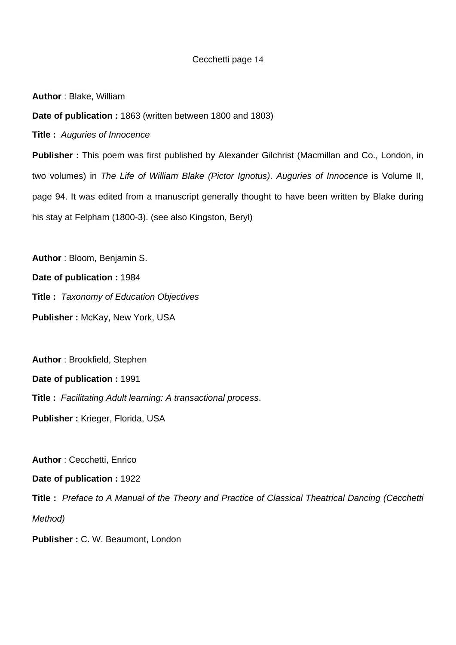**Author** : Blake, William

**Date of publication :** 1863 (written between 1800 and 1803)

**Title :** *Auguries of Innocence* 

**Publisher :** This poem was first published by Alexander Gilchrist (Macmillan and Co., London, in two volumes) in *The Life of William Blake (Pictor Ignotus)*. *Auguries of Innocence* is Volume II, page 94. It was edited from a manuscript generally thought to have been written by Blake during his stay at Felpham (1800-3). (see also Kingston, Beryl)

**Author** : Bloom, Benjamin S.

**Date of publication :** 1984

**Title :** *Taxonomy of Education Objectives* 

**Publisher :** McKay, New York, USA

**Author** : Brookfield, Stephen

**Date of publication :** 1991

**Title :** *Facilitating Adult learning: A transactional process*.

**Publisher :** Krieger, Florida, USA

**Author** : Cecchetti, Enrico

**Date of publication :** 1922

**Title :** *Preface to A Manual of the Theory and Practice of Classical Theatrical Dancing (Cecchetti Method)* 

**Publisher :** C. W. Beaumont, London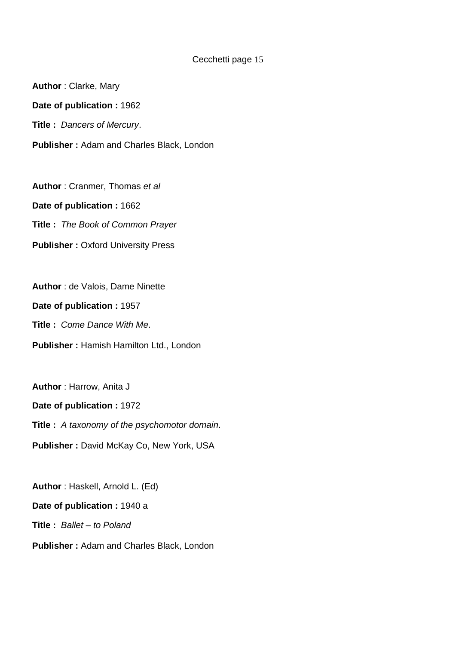**Author** : Clarke, Mary **Date of publication :** 1962 **Title :** *Dancers of Mercury*. **Publisher :** Adam and Charles Black, London

**Author** : Cranmer, Thomas *et al*  **Date of publication :** 1662 **Title :** *The Book of Common Prayer*  **Publisher: Oxford University Press** 

**Author** : de Valois, Dame Ninette **Date of publication :** 1957 **Title :** *Come Dance With Me*. **Publisher :** Hamish Hamilton Ltd., London

**Author** : Harrow, Anita J **Date of publication :** 1972 **Title :** *A taxonomy of the psychomotor domain*. **Publisher :** David McKay Co, New York, USA

**Author** : Haskell, Arnold L. (Ed) **Date of publication :** 1940 a **Title :** *Ballet – to Poland* **Publisher :** Adam and Charles Black, London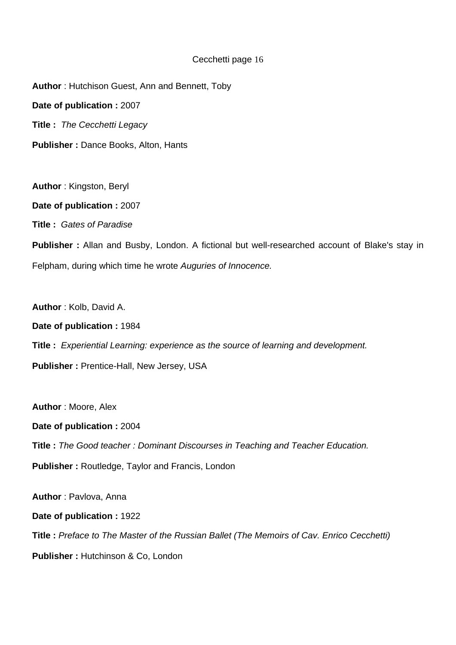**Author** : Hutchison Guest, Ann and Bennett, Toby **Date of publication :** 2007 **Title :** *The Cecchetti Legacy* **Publisher :** Dance Books, Alton, Hants

**Author** : Kingston, Beryl **Date of publication :** 2007 **Title :** *Gates of Paradise* 

**Publisher :** Allan and Busby, London. A fictional but well-researched account of Blake's stay in Felpham, during which time he wrote *Auguries of Innocence.* 

**Author** : Kolb, David A. **Date of publication :** 1984 **Title :** *Experiential Learning: experience as the source of learning and development.*  **Publisher :** Prentice-Hall, New Jersey, USA

**Author** : Moore, Alex **Date of publication :** 2004 **Title :** *The Good teacher : Dominant Discourses in Teaching and Teacher Education.*  **Publisher :** Routledge, Taylor and Francis, London

**Author** : Pavlova, Anna **Date of publication :** 1922 **Title :** *Preface to The Master of the Russian Ballet (The Memoirs of Cav. Enrico Cecchetti)*  **Publisher : Hutchinson & Co, London**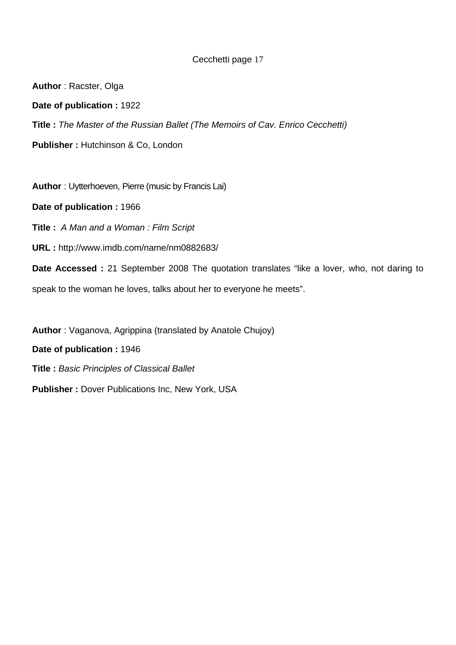**Author** : Racster, Olga **Date of publication :** 1922 **Title :** *The Master of the Russian Ballet (The Memoirs of Cav. Enrico Cecchetti)*  **Publisher: Hutchinson & Co, London** 

**Author** : Uytterhoeven, Pierre (music by Francis Lai)

**Date of publication :** 1966

**Title :** *A Man and a Woman : Film Script* 

**URL :** http://www.imdb.com/name/nm0882683/

**Date Accessed :** 21 September 2008 The quotation translates "like a lover, who, not daring to speak to the woman he loves, talks about her to everyone he meets".

**Author** : Vaganova, Agrippina (translated by Anatole Chujoy)

**Date of publication :** 1946

**Title :** *Basic Principles of Classical Ballet*

**Publisher :** Dover Publications Inc, New York, USA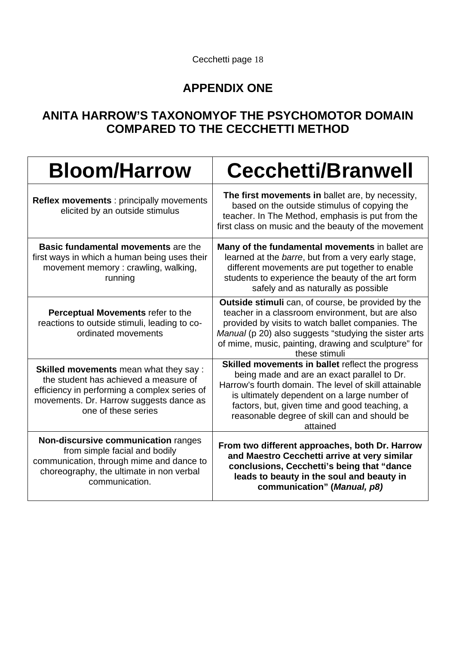

# **APPENDIX ONE**

# **ANITA HARROW'S TAXONOMYOF THE PSYCHOMOTOR DOMAIN COMPARED TO THE CECCHETTI METHOD**

| <b>Bloom/Harrow</b>                                                                                                                                                                                      | <b>Cecchetti/Branwell</b>                                                                                                                                                                                                                                                                                             |
|----------------------------------------------------------------------------------------------------------------------------------------------------------------------------------------------------------|-----------------------------------------------------------------------------------------------------------------------------------------------------------------------------------------------------------------------------------------------------------------------------------------------------------------------|
| <b>Reflex movements: principally movements</b><br>elicited by an outside stimulus                                                                                                                        | The first movements in ballet are, by necessity,<br>based on the outside stimulus of copying the<br>teacher. In The Method, emphasis is put from the<br>first class on music and the beauty of the movement                                                                                                           |
| <b>Basic fundamental movements are the</b><br>first ways in which a human being uses their<br>movement memory: crawling, walking,<br>running                                                             | Many of the fundamental movements in ballet are<br>learned at the barre, but from a very early stage,<br>different movements are put together to enable<br>students to experience the beauty of the art form<br>safely and as naturally as possible                                                                   |
| Perceptual Movements refer to the<br>reactions to outside stimuli, leading to co-<br>ordinated movements                                                                                                 | <b>Outside stimuli</b> can, of course, be provided by the<br>teacher in a classroom environment, but are also<br>provided by visits to watch ballet companies. The<br>Manual (p 20) also suggests "studying the sister arts<br>of mime, music, painting, drawing and sculpture" for<br>these stimuli                  |
| <b>Skilled movements</b> mean what they say :<br>the student has achieved a measure of<br>efficiency in performing a complex series of<br>movements. Dr. Harrow suggests dance as<br>one of these series | Skilled movements in ballet reflect the progress<br>being made and are an exact parallel to Dr.<br>Harrow's fourth domain. The level of skill attainable<br>is ultimately dependent on a large number of<br>factors, but, given time and good teaching, a<br>reasonable degree of skill can and should be<br>attained |
| Non-discursive communication ranges<br>from simple facial and bodily<br>communication, through mime and dance to<br>choreography, the ultimate in non verbal<br>communication.                           | From two different approaches, both Dr. Harrow<br>and Maestro Cecchetti arrive at very similar<br>conclusions, Cecchetti's being that "dance<br>leads to beauty in the soul and beauty in<br>communication" (Manual, p8)                                                                                              |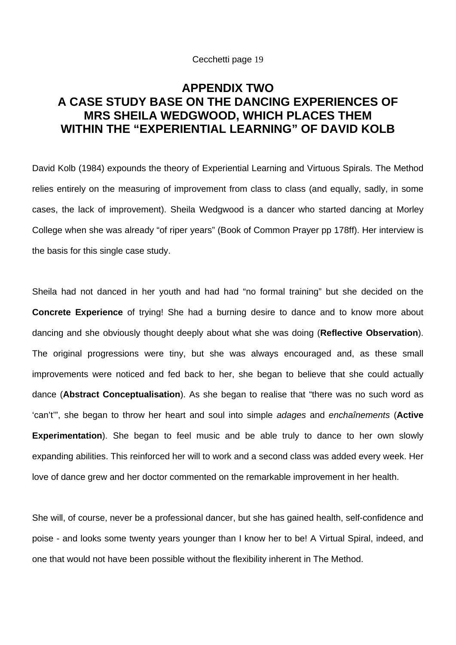# **APPENDIX TWO A CASE STUDY BASE ON THE DANCING EXPERIENCES OF MRS SHEILA WEDGWOOD, WHICH PLACES THEM WITHIN THE "EXPERIENTIAL LEARNING" OF DAVID KOLB**

David Kolb (1984) expounds the theory of Experiential Learning and Virtuous Spirals. The Method relies entirely on the measuring of improvement from class to class (and equally, sadly, in some cases, the lack of improvement). Sheila Wedgwood is a dancer who started dancing at Morley College when she was already "of riper years" (Book of Common Prayer pp 178ff). Her interview is the basis for this single case study.

Sheila had not danced in her youth and had had "no formal training" but she decided on the **Concrete Experience** of trying! She had a burning desire to dance and to know more about dancing and she obviously thought deeply about what she was doing (**Reflective Observation**). The original progressions were tiny, but she was always encouraged and, as these small improvements were noticed and fed back to her, she began to believe that she could actually dance (**Abstract Conceptualisation**). As she began to realise that "there was no such word as 'can't'", she began to throw her heart and soul into simple *adages* and *enchaînements* (**Active Experimentation**). She began to feel music and be able truly to dance to her own slowly expanding abilities. This reinforced her will to work and a second class was added every week. Her love of dance grew and her doctor commented on the remarkable improvement in her health.

She will, of course, never be a professional dancer, but she has gained health, self-confidence and poise - and looks some twenty years younger than I know her to be! A Virtual Spiral, indeed, and one that would not have been possible without the flexibility inherent in The Method.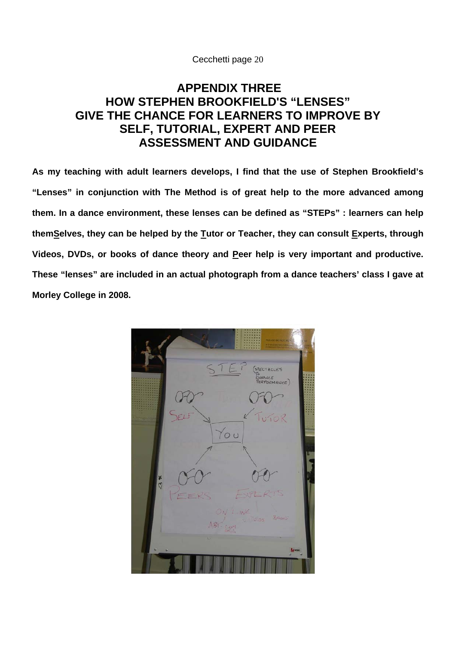# **APPENDIX THREE HOW STEPHEN BROOKFIELD'S "LENSES" GIVE THE CHANCE FOR LEARNERS TO IMPROVE BY SELF, TUTORIAL, EXPERT AND PEER ASSESSMENT AND GUIDANCE**

**As my teaching with adult learners develops, I find that the use of Stephen Brookfield's "Lenses" in conjunction with The Method is of great help to the more advanced among them. In a dance environment, these lenses can be defined as "STEPs" : learners can help themSelves, they can be helped by the Tutor or Teacher, they can consult Experts, through**  Videos, DVDs, or books of dance theory and Peer help is very important and productive. **These "lenses" are included in an actual photograph from a dance teachers' class I gave at Morley College in 2008.** 

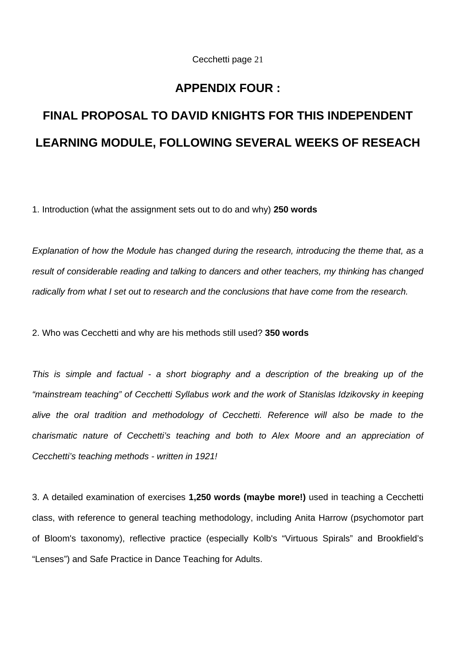# **APPENDIX FOUR :**

# **FINAL PROPOSAL TO DAVID KNIGHTS FOR THIS INDEPENDENT LEARNING MODULE, FOLLOWING SEVERAL WEEKS OF RESEACH**

1. Introduction (what the assignment sets out to do and why) **250 words**

*Explanation of how the Module has changed during the research, introducing the theme that, as a result of considerable reading and talking to dancers and other teachers, my thinking has changed radically from what I set out to research and the conclusions that have come from the research.* 

2. Who was Cecchetti and why are his methods still used? **350 words**

*This is simple and factual - a short biography and a description of the breaking up of the "mainstream teaching" of Cecchetti Syllabus work and the work of Stanislas Idzikovsky in keeping alive the oral tradition and methodology of Cecchetti. Reference will also be made to the charismatic nature of Cecchetti's teaching and both to Alex Moore and an appreciation of Cecchetti's teaching methods - written in 1921!* 

3. A detailed examination of exercises **1,250 words (maybe more!)** used in teaching a Cecchetti class, with reference to general teaching methodology, including Anita Harrow (psychomotor part of Bloom's taxonomy), reflective practice (especially Kolb's "Virtuous Spirals" and Brookfield's "Lenses") and Safe Practice in Dance Teaching for Adults.